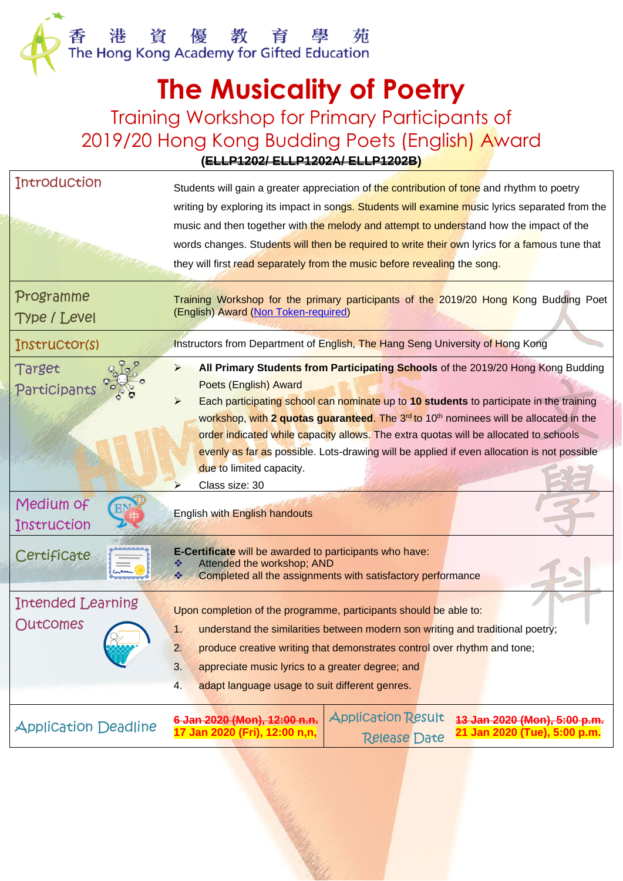## **The Musicality of Poetry**

## Training Workshop for Primary Participants of 2019/20 Hong Kong Budding Poets (English) Award **(ELLP1202/ ELLP1202A/ ELLP1202B)**

| <b>Introduction</b>              | Students will gain a greater appreciation of the contribution of tone and rhythm to poetry<br>writing by exploring its impact in songs. Students will examine music lyrics separated from the<br>music and then together with the melody and attempt to understand how the impact of the<br>words changes. Students will then be required to write their own lyrics for a famous tune that<br>they will first read separately from the music before revealing the song.                                                                                        |  |  |  |
|----------------------------------|----------------------------------------------------------------------------------------------------------------------------------------------------------------------------------------------------------------------------------------------------------------------------------------------------------------------------------------------------------------------------------------------------------------------------------------------------------------------------------------------------------------------------------------------------------------|--|--|--|
| Programme<br><b>Type / Level</b> | Training Workshop for the primary participants of the 2019/20 Hong Kong Budding Poet<br>(English) Award (Non Token-required)                                                                                                                                                                                                                                                                                                                                                                                                                                   |  |  |  |
| Instructor(s)                    | Instructors from Department of English, The Hang Seng University of Hong Kong                                                                                                                                                                                                                                                                                                                                                                                                                                                                                  |  |  |  |
| Target<br>Participants           | All Primary Students from Participating Schools of the 2019/20 Hong Kong Budding<br>⋗<br>Poets (English) Award<br>Each participating school can nominate up to 10 students to participate in the training<br>workshop, with 2 quotas guaranteed. The 3 <sup>rd</sup> to 10 <sup>th</sup> nominees will be allocated in the<br>order indicated while capacity allows. The extra quotas will be allocated to schools<br>evenly as far as possible. Lots-drawing will be applied if even allocation is not possible<br>due to limited capacity.<br>Class size: 30 |  |  |  |
| Medium of<br>Instruction         | <b>English with English handouts</b>                                                                                                                                                                                                                                                                                                                                                                                                                                                                                                                           |  |  |  |
| Certificate                      | E-Certificate will be awarded to participants who have:<br>Attended the workshop; AND<br>Completed all the assignments with satisfactory performance                                                                                                                                                                                                                                                                                                                                                                                                           |  |  |  |
| Intended Learning<br>OutComes    | Upon completion of the programme, participants should be able to:<br>understand the similarities between modern son writing and traditional poetry;<br>1.<br>2.<br>produce creative writing that demonstrates control over rhythm and tone;<br>3.<br>appreciate music lyrics to a greater degree; and<br>adapt language usage to suit different genres.<br>4.                                                                                                                                                                                                  |  |  |  |
| <b>Application Deadline</b>      | <b>Application Result</b><br>6 Jan 2020 (Mon), 12:00 n.n.<br>13 Jan 2020 (Mon), 5:00 p.m.<br>17 Jan 2020 (Fri), 12:00 n,n,<br>21 Jan 2020 (Tue), 5:00 p.m.<br><b>Release Date</b>                                                                                                                                                                                                                                                                                                                                                                              |  |  |  |